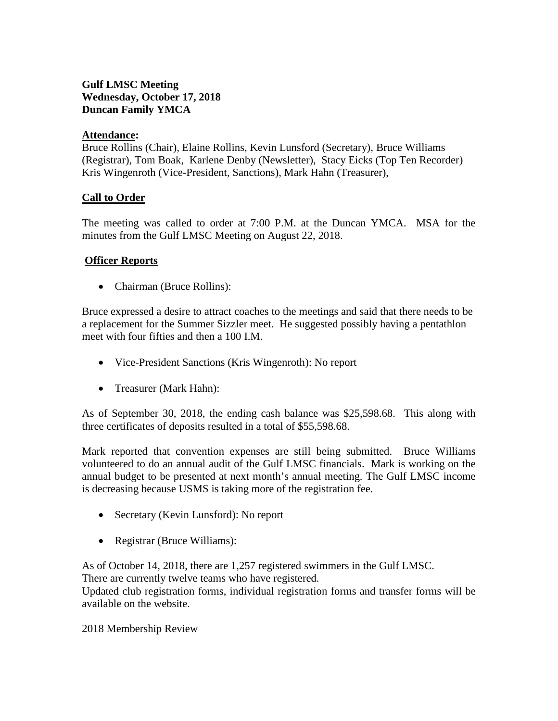# **Gulf LMSC Meeting Wednesday, October 17, 2018 Duncan Family YMCA**

## **Attendance:**

Bruce Rollins (Chair), Elaine Rollins, Kevin Lunsford (Secretary), Bruce Williams (Registrar), Tom Boak, Karlene Denby (Newsletter), Stacy Eicks (Top Ten Recorder) Kris Wingenroth (Vice-President, Sanctions), Mark Hahn (Treasurer),

## **Call to Order**

The meeting was called to order at 7:00 P.M. at the Duncan YMCA. MSA for the minutes from the Gulf LMSC Meeting on August 22, 2018.

## **Officer Reports**

• Chairman (Bruce Rollins):

Bruce expressed a desire to attract coaches to the meetings and said that there needs to be a replacement for the Summer Sizzler meet. He suggested possibly having a pentathlon meet with four fifties and then a 100 I.M.

- Vice-President Sanctions (Kris Wingenroth): No report
- Treasurer (Mark Hahn):

As of September 30, 2018, the ending cash balance was \$25,598.68. This along with three certificates of deposits resulted in a total of \$55,598.68.

Mark reported that convention expenses are still being submitted. Bruce Williams volunteered to do an annual audit of the Gulf LMSC financials. Mark is working on the annual budget to be presented at next month's annual meeting. The Gulf LMSC income is decreasing because USMS is taking more of the registration fee.

- Secretary (Kevin Lunsford): No report
- Registrar (Bruce Williams):

As of October 14, 2018, there are 1,257 registered swimmers in the Gulf LMSC. There are currently twelve teams who have registered.

Updated club registration forms, individual registration forms and transfer forms will be available on the website.

2018 Membership Review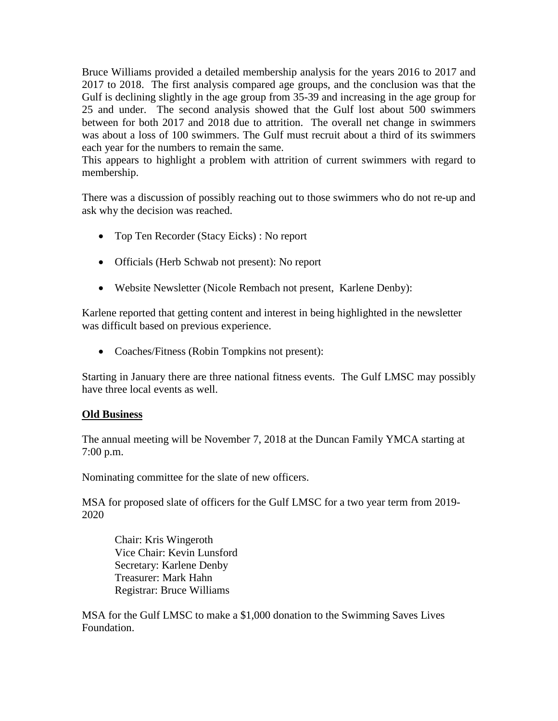Bruce Williams provided a detailed membership analysis for the years 2016 to 2017 and 2017 to 2018. The first analysis compared age groups, and the conclusion was that the Gulf is declining slightly in the age group from 35-39 and increasing in the age group for 25 and under. The second analysis showed that the Gulf lost about 500 swimmers between for both 2017 and 2018 due to attrition. The overall net change in swimmers was about a loss of 100 swimmers. The Gulf must recruit about a third of its swimmers each year for the numbers to remain the same.

This appears to highlight a problem with attrition of current swimmers with regard to membership.

There was a discussion of possibly reaching out to those swimmers who do not re-up and ask why the decision was reached.

- Top Ten Recorder (Stacy Eicks) : No report
- Officials (Herb Schwab not present): No report
- Website Newsletter (Nicole Rembach not present, Karlene Denby):

Karlene reported that getting content and interest in being highlighted in the newsletter was difficult based on previous experience.

• Coaches/Fitness (Robin Tompkins not present):

Starting in January there are three national fitness events. The Gulf LMSC may possibly have three local events as well.

#### **Old Business**

The annual meeting will be November 7, 2018 at the Duncan Family YMCA starting at 7:00 p.m.

Nominating committee for the slate of new officers.

MSA for proposed slate of officers for the Gulf LMSC for a two year term from 2019- 2020

Chair: Kris Wingeroth Vice Chair: Kevin Lunsford Secretary: Karlene Denby Treasurer: Mark Hahn Registrar: Bruce Williams

MSA for the Gulf LMSC to make a \$1,000 donation to the Swimming Saves Lives Foundation.